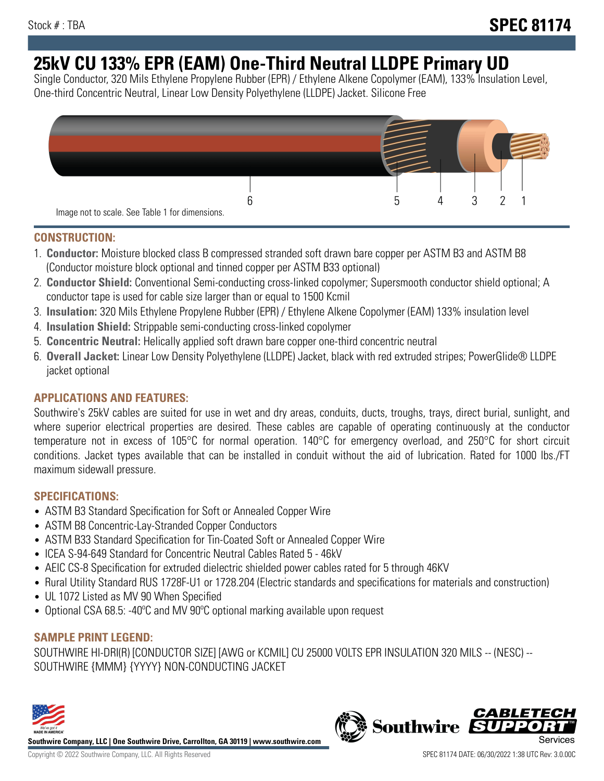# **25kV CU 133% EPR (EAM) One-Third Neutral LLDPE Primary UD**

Single Conductor, 320 Mils Ethylene Propylene Rubber (EPR) / Ethylene Alkene Copolymer (EAM), 133% Insulation Level, One-third Concentric Neutral, Linear Low Density Polyethylene (LLDPE) Jacket. Silicone Free



### **CONSTRUCTION:**

- 1. **Conductor:** Moisture blocked class B compressed stranded soft drawn bare copper per ASTM B3 and ASTM B8 (Conductor moisture block optional and tinned copper per ASTM B33 optional)
- 2. **Conductor Shield:** Conventional Semi-conducting cross-linked copolymer; Supersmooth conductor shield optional; A conductor tape is used for cable size larger than or equal to 1500 Kcmil
- 3. **Insulation:** 320 Mils Ethylene Propylene Rubber (EPR) / Ethylene Alkene Copolymer (EAM) 133% insulation level
- 4. **Insulation Shield:** Strippable semi-conducting cross-linked copolymer
- 5. **Concentric Neutral:** Helically applied soft drawn bare copper one-third concentric neutral
- 6. **Overall Jacket:** Linear Low Density Polyethylene (LLDPE) Jacket, black with red extruded stripes; PowerGlide® LLDPE jacket optional

## **APPLICATIONS AND FEATURES:**

Southwire's 25kV cables are suited for use in wet and dry areas, conduits, ducts, troughs, trays, direct burial, sunlight, and where superior electrical properties are desired. These cables are capable of operating continuously at the conductor temperature not in excess of 105°C for normal operation. 140°C for emergency overload, and 250°C for short circuit conditions. Jacket types available that can be installed in conduit without the aid of lubrication. Rated for 1000 lbs./FT maximum sidewall pressure.

### **SPECIFICATIONS:**

- ASTM B3 Standard Specification for Soft or Annealed Copper Wire
- ASTM B8 Concentric-Lay-Stranded Copper Conductors
- ASTM B33 Standard Specification for Tin-Coated Soft or Annealed Copper Wire
- ICEA S-94-649 Standard for Concentric Neutral Cables Rated 5 46kV
- AEIC CS-8 Specification for extruded dielectric shielded power cables rated for 5 through 46KV
- Rural Utility Standard RUS 1728F-U1 or 1728.204 (Electric standards and specifications for materials and construction)
- UL 1072 Listed as MV 90 When Specified
- Optional CSA 68.5: -40°C and MV 90°C optional marking available upon request

# **SAMPLE PRINT LEGEND:**

SOUTHWIRE HI-DRI(R) [CONDUCTOR SIZE] [AWG or KCMIL] CU 25000 VOLTS EPR INSULATION 320 MILS -- (NESC) -- SOUTHWIRE {MMM} {YYYY} NON-CONDUCTING JACKET



**Southwire Company, LLC | One Southwire Drive, Carrollton, GA 30119 | www.southwire.com**